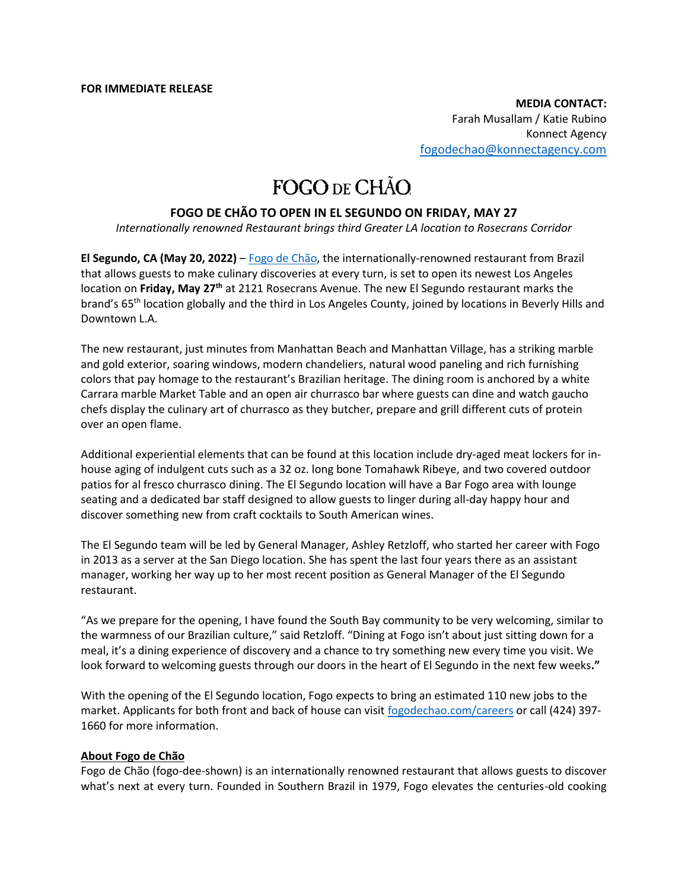**MEDIA CONTACT:** Farah Musallam / Katie Rubino Konnect Agency [fogodechao@konnectagency.com](mailto:fogodechao@konnectagency.com)

## **FOGO DE CHÃO**

## **FOGO DE CHÃO TO OPEN IN EL SEGUNDO ON FRIDAY, MAY 27**

*Internationally renowned Restaurant brings third Greater LA location to Rosecrans Corridor*

**El Segundo, CA (May 20, 2022)** – [Fogo de Chão,](https://fogodechao.com/) the internationally-renowned restaurant from Brazil that allows guests to make culinary discoveries at every turn, is set to open its newest Los Angeles location on **Friday, May 27th** at 2121 Rosecrans Avenue. The new El Segundo restaurant marks the brand's 65th location globally and the third in Los Angeles County, joined by locations in Beverly Hills and Downtown L.A.

The new restaurant, just minutes from Manhattan Beach and Manhattan Village, has a striking marble and gold exterior, soaring windows, modern chandeliers, natural wood paneling and rich furnishing colors that pay homage to the restaurant's Brazilian heritage. The dining room is anchored by a white Carrara marble Market Table and an open air churrasco bar where guests can dine and watch gaucho chefs display the culinary art of churrasco as they butcher, prepare and grill different cuts of protein over an open flame.

Additional experiential elements that can be found at this location include dry-aged meat lockers for inhouse aging of indulgent cuts such as a 32 oz. long bone Tomahawk Ribeye, and two covered outdoor patios for al fresco churrasco dining. The El Segundo location will have a Bar Fogo area with lounge seating and a dedicated bar staff designed to allow guests to linger during all-day happy hour and discover something new from craft cocktails to South American wines.

The El Segundo team will be led by General Manager, Ashley Retzloff, who started her career with Fogo in 2013 as a server at the San Diego location. She has spent the last four years there as an assistant manager, working her way up to her most recent position as General Manager of the El Segundo restaurant.

"As we prepare for the opening, I have found the South Bay community to be very welcoming, similar to the warmness of our Brazilian culture," said Retzloff. "Dining at Fogo isn't about just sitting down for a meal, it's a dining experience of discovery and a chance to try something new every time you visit. We look forward to welcoming guests through our doors in the heart of El Segundo in the next few weeks**."**

With the opening of the El Segundo location, Fogo expects to bring an estimated 110 new jobs to the market. Applicants for both front and back of house can visit [fogodechao.com/careers](https://fogodechao.com/careers/) or call (424) 397- 1660 for more information.

## **About Fogo de Chão**

Fogo de Chão (fogo-dee-shown) is an internationally renowned restaurant that allows guests to discover what's next at every turn. Founded in Southern Brazil in 1979, Fogo elevates the centuries-old cooking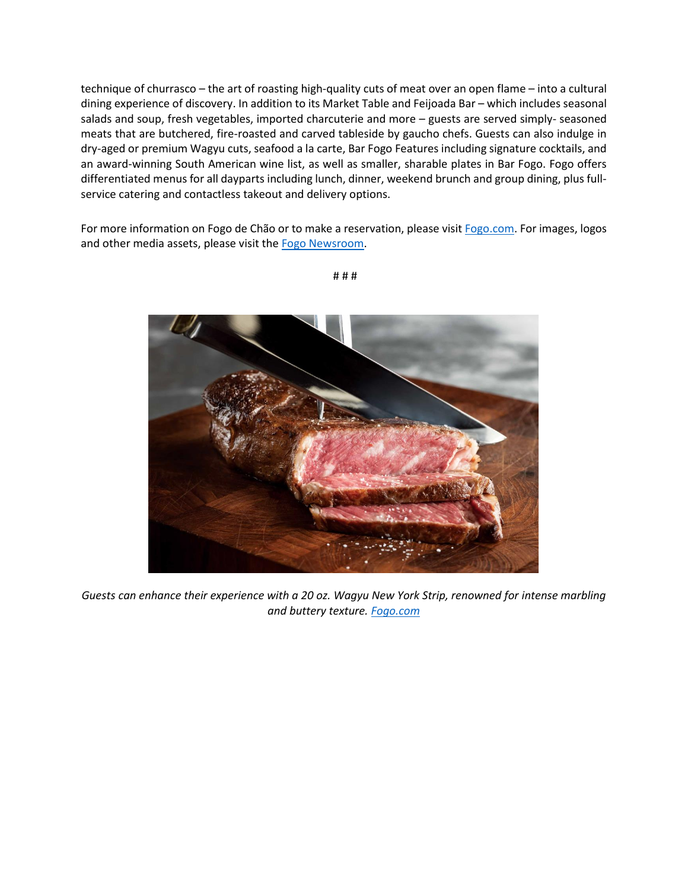technique of churrasco – the art of roasting high-quality cuts of meat over an open flame – into a cultural dining experience of discovery. In addition to its Market Table and Feijoada Bar – which includes seasonal salads and soup, fresh vegetables, imported charcuterie and more – guests are served simply- seasoned meats that are butchered, fire-roasted and carved tableside by gaucho chefs. Guests can also indulge in dry-aged or premium Wagyu cuts, seafood a la carte, Bar Fogo Features including signature cocktails, and an award-winning South American wine list, as well as smaller, sharable plates in Bar Fogo. Fogo offers differentiated menus for all dayparts including lunch, dinner, weekend brunch and group dining, plus fullservice catering and contactless takeout and delivery options.

For more information on Fogo de Chão or to make a reservation, please visi[t Fogo.com.](http://www.fogo.com/) For images, logos and other media assets, please visit th[e Fogo Newsroom.](https://fogodechao.com/newsroom/)



# # #

*Guests can enhance their experience with a 20 oz. Wagyu New York Strip, renowned for intense marbling and buttery texture. [Fogo.com](https://protect-us.mimecast.com/s/SRIvCJ6YNvI1Vk1PiV8bYC?domain=fogo.com)*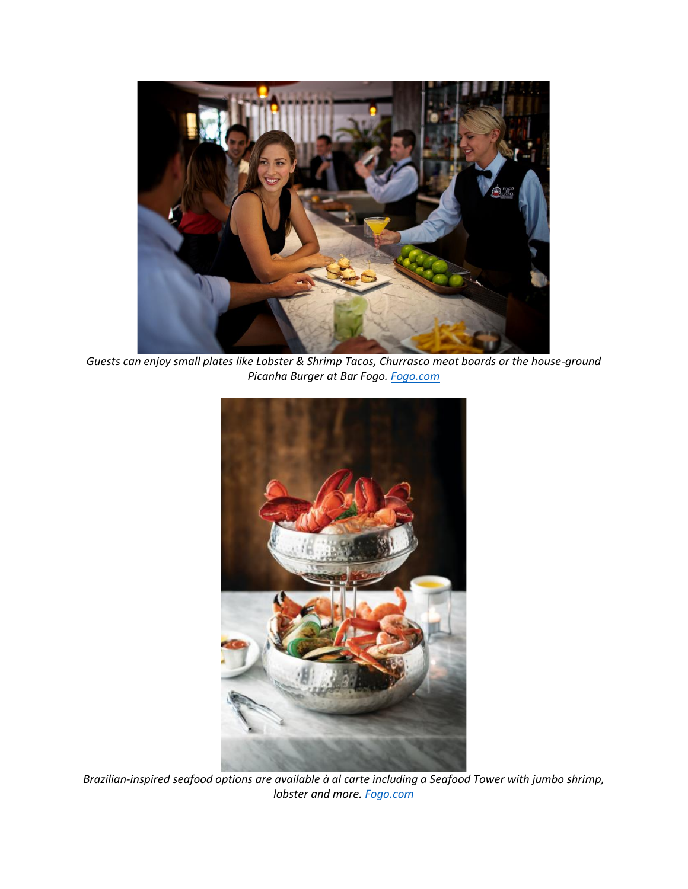

*Guests can enjoy small plates like Lobster & Shrimp Tacos, Churrasco meat boards or the house-ground Picanha Burger at Bar Fogo. [Fogo.com](https://protect-us.mimecast.com/s/SRIvCJ6YNvI1Vk1PiV8bYC?domain=fogo.com)*



*Brazilian-inspired seafood options are available à al carte including a Seafood Tower with jumbo shrimp, lobster and more. [Fogo.com](https://protect-us.mimecast.com/s/SRIvCJ6YNvI1Vk1PiV8bYC?domain=fogo.com)*